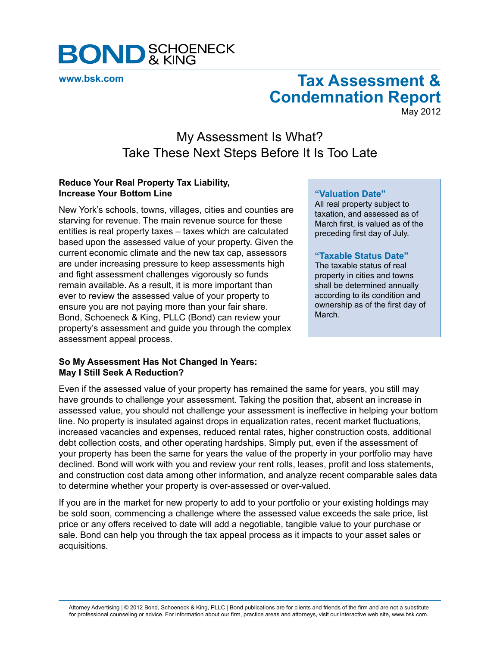

**[www.bsk.com](http://www.bsk.com/index.cfm)**

# **Tax Assessment & Condemnation Report**

May 2012

## My Assessment Is What? Take These Next Steps Before It Is Too Late

#### **Reduce Your Real Property Tax Liability, Increase Your Bottom Line**

New York's schools, towns, villages, cities and counties are starving for revenue. The main revenue source for these entities is real property taxes – taxes which are calculated based upon the assessed value of your property. Given the current economic climate and the new tax cap, assessors are under increasing pressure to keep assessments high and fight assessment challenges vigorously so funds remain available. As a result, it is more important than ever to review the assessed value of your property to ensure you are not paying more than your fair share. Bond, Schoeneck & King, PLLC (Bond) can review your property's assessment and guide you through the complex assessment appeal process.

### **So My Assessment Has Not Changed In Years: May I Still Seek A Reduction?**

#### **"Valuation Date"**

All real property subject to taxation, and assessed as of March first, is valued as of the preceding first day of July.

#### **"Taxable Status Date"**

The taxable status of real property in cities and towns shall be determined annually according to its condition and ownership as of the first day of March.

Even if the assessed value of your property has remained the same for years, you still may have grounds to challenge your assessment. Taking the position that, absent an increase in assessed value, you should not challenge your assessment is ineffective in helping your bottom line. No property is insulated against drops in equalization rates, recent market fluctuations, increased vacancies and expenses, reduced rental rates, higher construction costs, additional debt collection costs, and other operating hardships. Simply put, even if the assessment of your property has been the same for years the value of the property in your portfolio may have declined. Bond will work with you and review your rent rolls, leases, profit and loss statements, and construction cost data among other information, and analyze recent comparable sales data to determine whether your property is over-assessed or over-valued.

If you are in the market for new property to add to your portfolio or your existing holdings may be sold soon, commencing a challenge where the assessed value exceeds the sale price, list price or any offers received to date will add a negotiable, tangible value to your purchase or sale. Bond can help you through the tax appeal process as it impacts to your asset sales or acquisitions.